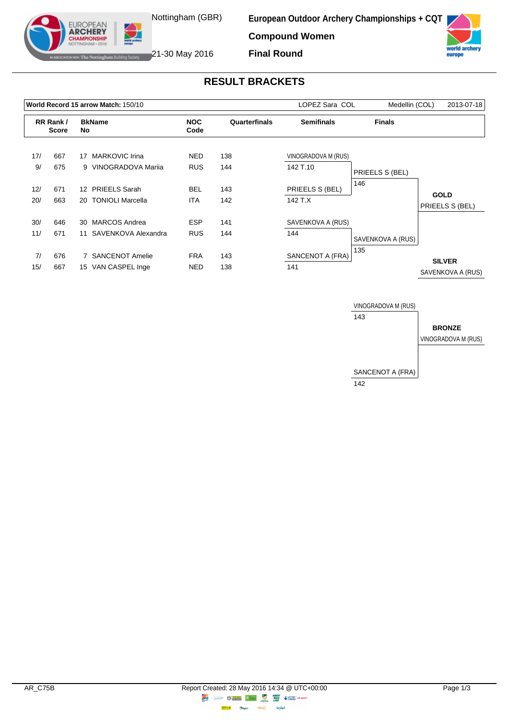

**European Outdoor Archery Championships + CQT**

**Compound Women**



**IF The Nottingham Building Society** 21-30 May 2016

EUROPEAN **ARCHERY** 

**Final Round**

## **RESULT BRACKETS**

| World Record 15 arrow Match: 150/10 |                          |                 |                      |                    |               | LOPEZ Sara COL      | Medellin (COL)    | 2013-07-18        |
|-------------------------------------|--------------------------|-----------------|----------------------|--------------------|---------------|---------------------|-------------------|-------------------|
|                                     | RR Rank/<br><b>Score</b> |                 | <b>BkName</b><br>No  | <b>NOC</b><br>Code | Quarterfinals | <b>Semifinals</b>   | <b>Finals</b>     |                   |
| 17/                                 | 667                      | 17              | MARKOVIC Irina       | <b>NED</b>         | 138           | VINOGRADOVA M (RUS) |                   |                   |
| 9/                                  | 675                      |                 | 9 VINOGRADOVA Marija | <b>RUS</b>         | 144           | 142 T.10            | PRIEELS S (BEL)   |                   |
| 12/                                 | 671                      | 12 <sup>°</sup> | <b>PRIEELS Sarah</b> | <b>BEL</b>         | 143           | PRIEELS S (BEL)     | 146               | <b>GOLD</b>       |
| 20/                                 | 663                      |                 | 20 TONIOLI Marcella  | <b>ITA</b>         | 142           | 142 T.X             |                   | PRIEELS S (BEL)   |
| 30/                                 | 646                      | 30              | MARCOS Andrea        | <b>ESP</b>         | 141           | SAVENKOVA A (RUS)   |                   |                   |
| 11/                                 | 671                      | 11              | SAVENKOVA Alexandra  | <b>RUS</b>         | 144           | 144                 | SAVENKOVA A (RUS) |                   |
| 7/                                  | 676                      |                 | 7 SANCENOT Amelie    | <b>FRA</b>         | 143           | SANCENOT A (FRA)    | 135               | <b>SILVER</b>     |
| 15/                                 | 667                      |                 | 15 VAN CASPEL Inge   | <b>NED</b>         | 138           | 141                 |                   | SAVENKOVA A (RUS) |

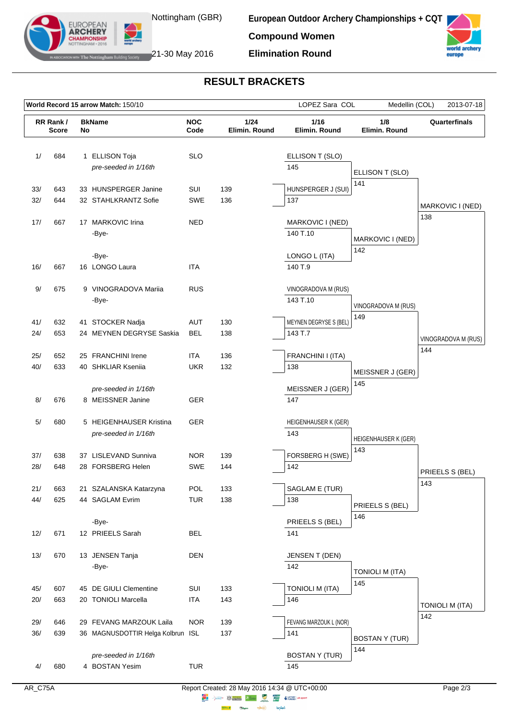

**European Outdoor Archery Championships + CQT Compound Women**

world europe



**Elimination Round**

## **RESULT BRACKETS**

| World Record 15 arrow Match: 150/10<br>LOPEZ Sara COL<br>Medellin (COL) |                          |    |                                                              |                    |                       |                                 |                              | 2013-07-18             |
|-------------------------------------------------------------------------|--------------------------|----|--------------------------------------------------------------|--------------------|-----------------------|---------------------------------|------------------------------|------------------------|
|                                                                         | RR Rank/<br><b>Score</b> | No | <b>BkName</b>                                                | <b>NOC</b><br>Code | 1/24<br>Elimin. Round | 1/16<br>Elimin. Round           | 1/8<br>Elimin. Round         | Quarterfinals          |
| 1/                                                                      | 684                      |    | 1 ELLISON Toja<br>pre-seeded in 1/16th                       | <b>SLO</b>         |                       | ELLISON T (SLO)<br>145          | ELLISON T (SLO)              |                        |
| 33/                                                                     | 643                      |    | 33 HUNSPERGER Janine                                         | SUI                | 139                   | HUNSPERGER J (SUI)              | 141                          |                        |
| 32/                                                                     | 644                      |    | 32 STAHLKRANTZ Sofie                                         | <b>SWE</b>         | 136                   | 137                             |                              | MARKOVIC I (NED)       |
| 17/                                                                     | 667                      |    | 17 MARKOVIC Irina<br>-Bye-                                   | <b>NED</b>         |                       | MARKOVIC I (NED)<br>140 T.10    | MARKOVIC I (NED)<br>142      | 138                    |
| 16/                                                                     | 667                      |    | -Bye-<br>16 LONGO Laura                                      | <b>ITA</b>         |                       | LONGO L (ITA)<br>140 T.9        |                              |                        |
| 9/                                                                      | 675                      |    | 9 VINOGRADOVA Mariia<br>-Bye-                                | <b>RUS</b>         |                       | VINOGRADOVA M (RUS)<br>143 T.10 | VINOGRADOVA M (RUS)          |                        |
| 41/                                                                     | 632                      |    | 41 STOCKER Nadja                                             | AUT                | 130                   | MEYNEN DEGRYSE S (BEL)          | 149                          |                        |
| 24/                                                                     | 653                      |    | 24 MEYNEN DEGRYSE Saskia                                     | <b>BEL</b>         | 138                   | 143 T.7                         |                              | VINOGRADOVA M (RUS)    |
| 25/                                                                     | 652                      |    | 25 FRANCHINI Irene                                           | <b>ITA</b>         | 136                   | FRANCHINI I (ITA)               |                              | 144                    |
| 40/                                                                     | 633                      |    | 40 SHKLIAR Kseniia                                           | <b>UKR</b>         | 132                   | 138                             | MEISSNER J (GER)             |                        |
| 8/                                                                      | 676                      |    | pre-seeded in 1/16th<br>8 MEISSNER Janine                    | <b>GER</b>         |                       | MEISSNER J (GER)<br>147         | 145                          |                        |
| 5/                                                                      | 680                      |    | 5 HEIGENHAUSER Kristina<br>pre-seeded in 1/16th              | <b>GER</b>         |                       | HEIGENHAUSER K (GER)<br>143     | HEIGENHAUSER K (GER)         |                        |
| 37/                                                                     | 638                      |    | 37 LISLEVAND Sunniva                                         | NOR.               | 139                   | FORSBERG H (SWE)                | 143                          |                        |
| 28/                                                                     | 648                      |    | 28 FORSBERG Helen                                            | SWE                | 144                   | 142                             |                              | PRIEELS S (BEL)        |
| 21/<br>44/                                                              | 663<br>625               |    | 21 SZALANSKA Katarzyna<br>44 SAGLAM Evrim                    | POL<br><b>TUR</b>  | 133<br>138            | SAGLAM E (TUR)<br>138           | PRIEELS S (BEL)              | 143                    |
| 12/                                                                     | 671                      |    | -Bye-<br>12 PRIEELS Sarah                                    | <b>BEL</b>         |                       | PRIEELS S (BEL)<br>141          | 146                          |                        |
| 13/                                                                     | 670                      |    | 13 JENSEN Tanja<br>-Bye-                                     | <b>DEN</b>         |                       | JENSEN T (DEN)<br>142           | <b>TONIOLI M (ITA)</b>       |                        |
| 45/                                                                     | 607                      |    | 45 DE GIULI Clementine                                       | SUI                | 133                   | <b>TONIOLI M (ITA)</b>          | 145                          |                        |
| 20/                                                                     | 663                      |    | 20 TONIOLI Marcella                                          | <b>ITA</b>         | 143                   | 146                             |                              | <b>TONIOLI M (ITA)</b> |
| 29/<br>36/                                                              | 646<br>639               |    | 29 FEVANG MARZOUK Laila<br>36 MAGNUSDOTTIR Helga Kolbrun ISL | <b>NOR</b>         | 139<br>137            | FEVANG MARZOUK L (NOR)<br>141   |                              | 142                    |
| 4/                                                                      | 680                      |    | pre-seeded in 1/16th<br>4 BOSTAN Yesim                       | <b>TUR</b>         |                       | <b>BOSTAN Y (TUR)</b><br>145    | <b>BOSTAN Y (TUR)</b><br>144 |                        |

**lensed**